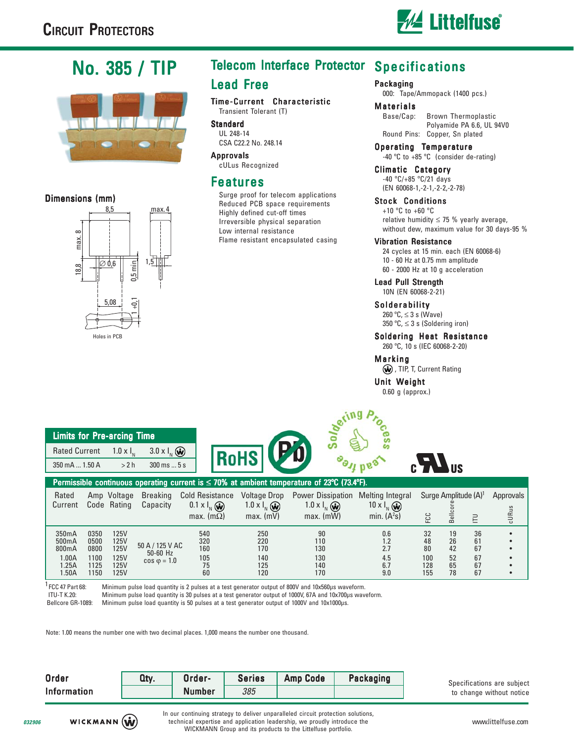

# No. 385 / TIP



#### Dimensions (mm)



## Telecom Interface Protector Specifications Lead Free

Time-Current Characteristic Transient Tolerant (T)

**Standard** UL 248-14 CSA C22.2 No. 248.14

Approvals cULus Recognized

### **Features**

Surge proof for telecom applications Reduced PCB space requirements Highly defined cut-off times Irreversible physical separation Low internal resistance Flame resistant encapsulated casing

#### Packaging

000: Tape/Ammopack (1400 pcs.)

#### Materials

Base/Cap: Brown Thermoplastic Polyamide PA 6.6, UL 94V0 Round Pins: Copper, Sn plated

Operating Temperature -40 ºC to +85 ºC (consider de-rating)

Climatic Category -40 ºC/+85 ºC/21 days (EN 60068-1,-2-1,-2-2,-2-78)

Stock Conditions +10 ºC to +60 ºC

relative humidity  $\leq$  75 % yearly average, without dew, maximum value for 30 days-95 %

#### Vibration Resistance

24 cycles at 15 min. each (EN 60068-6) 10 - 60 Hz at 0.75 mm amplitude 60 - 2000 Hz at 10 g acceleration

Lead Pull Strength 10N (EN 60068-2-21)

#### Solderability

260 ºC, ≤ 3 s (Wave) 350 °C,  $\leq$  3 s (Soldering iron)

Soldering Heat Resistance 260 ºC, 10 s (IEC 60068-2-20)

### Marking

 $\left(\widehat{\mathbf{w}}\right)$ , TIP, T, Current Rating

#### Unit Weight

0.60 g (approx.)

| <b>Limits for Pre-arcing Time</b> |      |                               |  |  |  |  |
|-----------------------------------|------|-------------------------------|--|--|--|--|
| Rated Current $1.0 \times I_{N}$  |      | 3.0 $\times$ $\vert_{N}$ (w)  |  |  |  |  |
| 350 mA  1.50 A                    | >2 h | $300 \text{ ms}  5 \text{ s}$ |  |  |  |  |





| Permissible continuous operating current is $\leq$ 70% at ambient temperature of 23°C (73.4°F). |      |             |                               |                        |                        |                          |                         |     |                                  |       |                  |
|-------------------------------------------------------------------------------------------------|------|-------------|-------------------------------|------------------------|------------------------|--------------------------|-------------------------|-----|----------------------------------|-------|------------------|
| Rated                                                                                           |      | Amp Voltage | <b>Breaking</b>               | <b>Cold Resistance</b> | <b>Voltage Drop</b>    | <b>Power Dissipation</b> | <b>Melting Integral</b> |     | Surge Amplitude (A) <sup>1</sup> |       | <b>Approvals</b> |
| Current                                                                                         |      | Code Rating | Capacity                      | $0.1 \times I_{N}$ (w) | 1.0 x $I_{N}$ $\omega$ | $1.0 \times I_{N}$ (w)   | $10 \times I_{N}$ (w)   |     |                                  |       |                  |
|                                                                                                 |      |             |                               | max. $(m\Omega)$       | $max.$ (mV)            | max. (mW)                | min. $(A2s)$            | FCC | ᇹ<br>$\infty$                    | $\Xi$ | cURus            |
|                                                                                                 |      |             |                               |                        |                        |                          |                         |     |                                  |       |                  |
| 350mA                                                                                           | 0350 | 125V        |                               | 540                    | 250                    | 90                       | 0.6                     | 32  | 19                               | 36    |                  |
| 500 <sub>m</sub> A                                                                              | 0500 | 125V        |                               | 320                    | 220                    | 110                      |                         | 48  | 26                               | 61    |                  |
| 800mA                                                                                           | 0800 | 125V        | 50 A / 125 V AC<br>$50-60$ Hz | 160                    | 170                    | 130                      | 2.7                     | 80  | 42                               | 67    |                  |
| 1.00A                                                                                           | 1100 | 125V        | $\cos \varphi = 1.0$          | 105                    | 140                    | 130                      | 4.5                     | 100 | 52                               | 67    |                  |
| 1.25A                                                                                           | 1125 | 125V        |                               | 75                     | 125                    | 140                      | 6.7                     | 128 | 65                               | 67    |                  |
| l.50A                                                                                           | 1150 | 125V        |                               | 60                     | 120                    | 170                      | 9.0                     | 155 | 78                               | 67    |                  |

 $^1$  FCC 47 Part 68: Minimum pulse load quantity is 2 pulses at a test generator output of 800V and 10x560μs waveform.

ITU-T K.20: Minimum pulse load quantity is 30 pulses at a test generator output of 1000V, 67A and 10x700μs waveform.

Bellcore GR-1089: Minimum pulse load quantity is 50 pulses at a test generator output of 1000V and 10x1000μs.

Note: 1.00 means the number one with two decimal places. 1,000 means the number one thousand.

| Order              | Qty. | Order-        | <b>Series</b> | <b>Amp Code</b> | Packaging |
|--------------------|------|---------------|---------------|-----------------|-----------|
| <b>Information</b> |      | <b>Number</b> | 385           |                 |           |

Specifications are subject to change without notice

**032906**

In our continuing strategy to deliver unparalleled circuit protection solutions, technical expertise and application leadership, we proudly introduce the WICKMANN Group and its products to the Littelfuse portfolio.